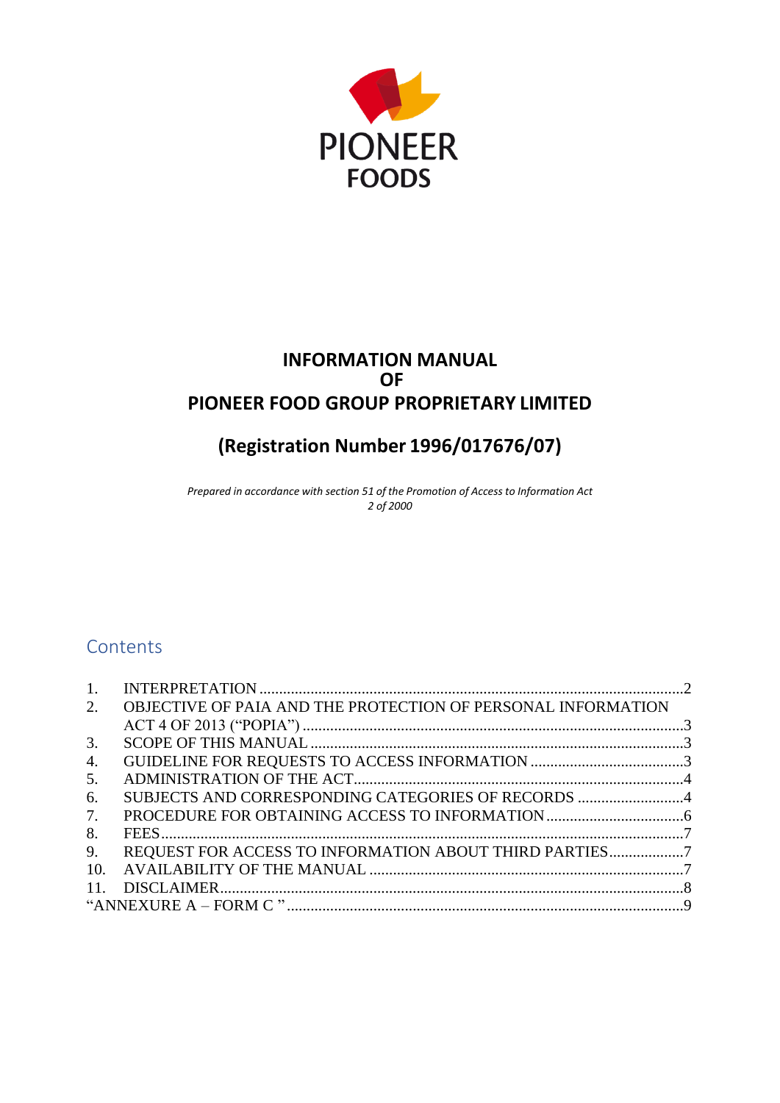

# **INFORMATION MANUAL OF PIONEER FOOD GROUP PROPRIETARY LIMITED**

# **(Registration Number 1996/017676/07)**

*Prepared in accordance with section 51 of the Promotion of Access to Information Act 2 of 2000*

# **Contents**

| 1.  |                                                              |  |
|-----|--------------------------------------------------------------|--|
| 2.  | OBJECTIVE OF PAIA AND THE PROTECTION OF PERSONAL INFORMATION |  |
|     |                                                              |  |
| 3.  |                                                              |  |
| 4.  |                                                              |  |
| 5.  |                                                              |  |
| 6.  | SUBJECTS AND CORRESPONDING CATEGORIES OF RECORDS 4           |  |
| 7.  |                                                              |  |
| 8.  |                                                              |  |
| 9.  | REQUEST FOR ACCESS TO INFORMATION ABOUT THIRD PARTIES7       |  |
| 10. |                                                              |  |
| 11  |                                                              |  |
|     |                                                              |  |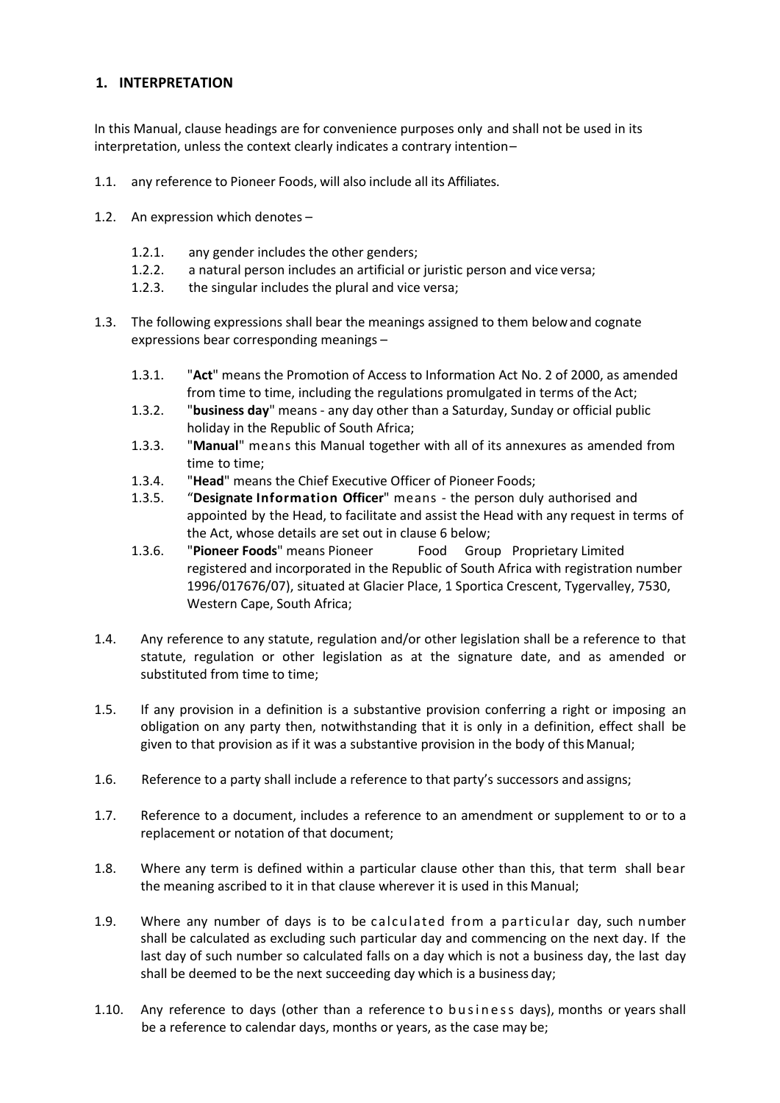# <span id="page-1-0"></span>**1. INTERPRETATION**

In this Manual, clause headings are for convenience purposes only and shall not be used in its interpretation, unless the context clearly indicates a contrary intention–

- 1.1. any reference to Pioneer Foods, will also include all its Affiliates.
- 1.2. An expression which denotes
	- 1.2.1. any gender includes the other genders;
	- 1.2.2. a natural person includes an artificial or juristic person and vice versa;
	- 1.2.3. the singular includes the plural and vice versa;
- 1.3. The following expressions shall bear the meanings assigned to them belowand cognate expressions bear corresponding meanings –
	- 1.3.1. "**Act**" means the Promotion of Access to Information Act No. 2 of 2000, as amended from time to time, including the regulations promulgated in terms of the Act;
	- 1.3.2. "**business day**" means any day other than a Saturday, Sunday or official public holiday in the Republic of South Africa;
	- 1.3.3. "**Manual**" means this Manual together with all of its annexures as amended from time to time;
	- 1.3.4. "**Head**" means the Chief Executive Officer of Pioneer Foods;
	- 1.3.5. "**Designate Information Officer**" means the person duly authorised and appointed by the Head, to facilitate and assist the Head with any request in terms of the Act, whose details are set out in clause 6 below;
	- 1.3.6. "**Pioneer Foods**" means Pioneer Food Group Proprietary Limited registered and incorporated in the Republic of South Africa with registration number 1996/017676/07), situated at Glacier Place, 1 Sportica Crescent, Tygervalley, 7530, Western Cape, South Africa;
- 1.4. Any reference to any statute, regulation and/or other legislation shall be a reference to that statute, regulation or other legislation as at the signature date, and as amended or substituted from time to time;
- 1.5. If any provision in a definition is a substantive provision conferring a right or imposing an obligation on any party then, notwithstanding that it is only in a definition, effect shall be given to that provision as if it was a substantive provision in the body of this Manual;
- 1.6. Reference to a party shall include a reference to that party's successors and assigns;
- 1.7. Reference to a document, includes a reference to an amendment or supplement to or to a replacement or notation of that document;
- 1.8. Where any term is defined within a particular clause other than this, that term shall bear the meaning ascribed to it in that clause wherever it is used in this Manual;
- 1.9. Where any number of days is to be calculated from a particular day, such number shall be calculated as excluding such particular day and commencing on the next day. If the last day of such number so calculated falls on a day which is not a business day, the last day shall be deemed to be the next succeeding day which is a business day;
- 1.10. Any reference to days (other than a reference to business days), months or years shall be a reference to calendar days, months or years, as the case may be;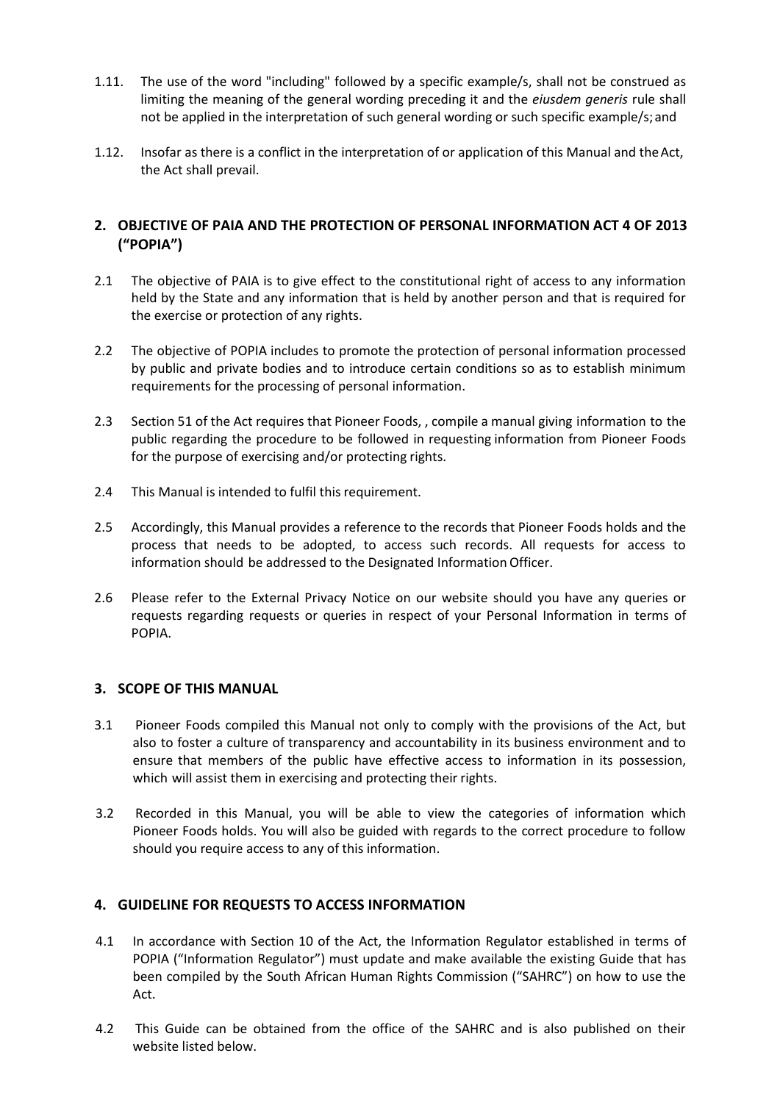- 1.11. The use of the word "including" followed by a specific example/s, shall not be construed as limiting the meaning of the general wording preceding it and the *eiusdem generis* rule shall not be applied in the interpretation of such general wording or such specific example/s; and
- 1.12. Insofar as there is a conflict in the interpretation of or application of this Manual and the Act, the Act shall prevail.

# <span id="page-2-0"></span>**2. OBJECTIVE OF PAIA AND THE PROTECTION OF PERSONAL INFORMATION ACT 4 OF 2013 ("POPIA")**

- 2.1 The objective of PAIA is to give effect to the constitutional right of access to any information held by the State and any information that is held by another person and that is required for the exercise or protection of any rights.
- 2.2 The objective of POPIA includes to promote the protection of personal information processed by public and private bodies and to introduce certain conditions so as to establish minimum requirements for the processing of personal information.
- 2.3 Section 51 of the Act requires that Pioneer Foods, , compile a manual giving information to the public regarding the procedure to be followed in requesting information from Pioneer Foods for the purpose of exercising and/or protecting rights.
- 2.4 This Manual is intended to fulfil this requirement.
- 2.5 Accordingly, this Manual provides a reference to the records that Pioneer Foods holds and the process that needs to be adopted, to access such records. All requests for access to information should be addressed to the Designated Information Officer.
- 2.6 Please refer to the External Privacy Notice on our website should you have any queries or requests regarding requests or queries in respect of your Personal Information in terms of POPIA.

## <span id="page-2-1"></span>**3. SCOPE OF THIS MANUAL**

- 3.1 Pioneer Foods compiled this Manual not only to comply with the provisions of the Act, but also to foster a culture of transparency and accountability in its business environment and to ensure that members of the public have effective access to information in its possession, which will assist them in exercising and protecting their rights.
- 3.2 Recorded in this Manual, you will be able to view the categories of information which Pioneer Foods holds. You will also be guided with regards to the correct procedure to follow should you require access to any of this information.

## <span id="page-2-2"></span>**4. GUIDELINE FOR REQUESTS TO ACCESS INFORMATION**

- 4.1 In accordance with Section 10 of the Act, the Information Regulator established in terms of POPIA ("Information Regulator") must update and make available the existing Guide that has been compiled by the South African Human Rights Commission ("SAHRC") on how to use the Act.
- 4.2 This Guide can be obtained from the office of the SAHRC and is also published on their website listed below.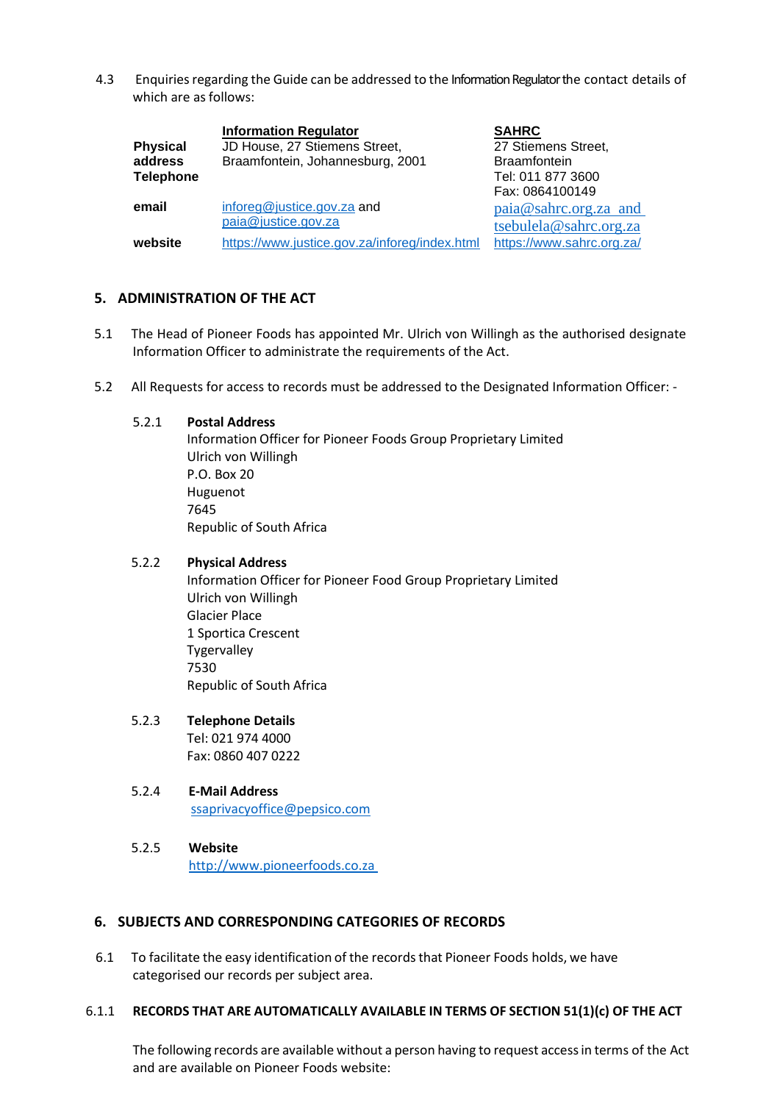4.3 Enquiries regarding the Guide can be addressed to the Information Regulator the contact details of which are as follows:

| <b>Physical</b><br>address<br><b>Telephone</b> | <b>Information Regulator</b><br>JD House, 27 Stiemens Street,<br>Braamfontein, Johannesburg, 2001 | <b>SAHRC</b><br>27 Stiemens Street,<br><b>Braamfontein</b><br>Tel: 011 877 3600<br>Fax: 0864100149<br>$p$ aia@sahrc.org.za and<br>tsebulela@sahrc.org.za |  |  |
|------------------------------------------------|---------------------------------------------------------------------------------------------------|----------------------------------------------------------------------------------------------------------------------------------------------------------|--|--|
| email                                          | inforeg@justice.gov.za and<br>paia@justice.gov.za                                                 |                                                                                                                                                          |  |  |
| website                                        | https://www.justice.gov.za/inforeg/index.html                                                     | https://www.sahrc.org.za/                                                                                                                                |  |  |

## <span id="page-3-0"></span>**5. ADMINISTRATION OF THE ACT**

- 5.1 The Head of Pioneer Foods has appointed Mr. Ulrich von Willingh as the authorised designate Information Officer to administrate the requirements of the Act.
- 5.2 All Requests for access to records must be addressed to the Designated Information Officer: -

#### 5.2.1 **Postal Address**

Information Officer for Pioneer Foods Group Proprietary Limited Ulrich von Willingh P.O. Box 20 Huguenot 7645 Republic of South Africa

#### 5.2.2 **Physical Address**

Information Officer for Pioneer Food Group Proprietary Limited Ulrich von Willingh Glacier Place 1 Sportica Crescent **Tygervalley** 7530 Republic of South Africa

#### 5.2.3 **Telephone Details** Tel: 021 974 4000

Fax: 0860 407 0222

## 5.2.4 **E-Mail Address**

[ssaprivacyoffice@pepsico.com](mailto:ssaprivacyoffice@pepsico.com)

# 5.2.5 **Website** [http://www.pioneerfoods.co.za](http://www.pioneerfoods.co.za/)

## <span id="page-3-1"></span>**6. SUBJECTS AND CORRESPONDING CATEGORIES OF RECORDS**

6.1 To facilitate the easy identification of the records that Pioneer Foods holds, we have categorised our records per subject area.

#### 6.1.1 **RECORDS THAT ARE AUTOMATICALLY AVAILABLE IN TERMS OF SECTION 51(1)(c) OF THE ACT**

The following records are available without a person having to request accessin terms of the Act and are available on Pioneer Foods website: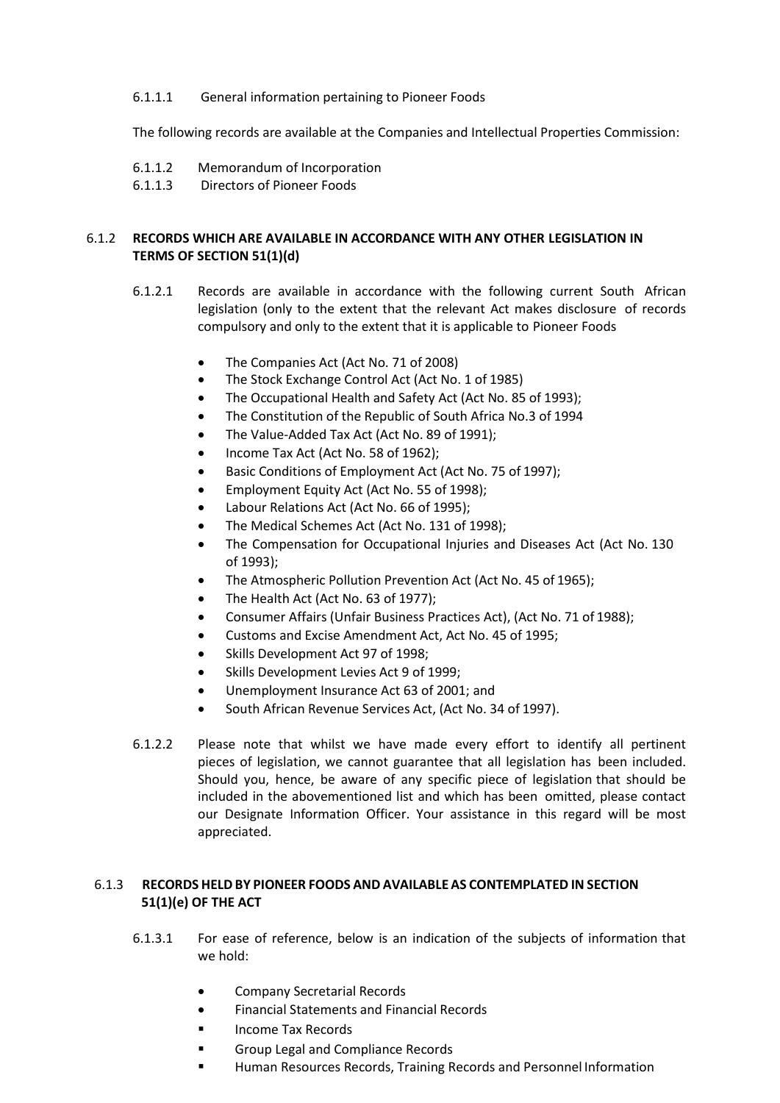#### 6.1.1.1 General information pertaining to Pioneer Foods

The following records are available at the Companies and Intellectual Properties Commission:

- 6.1.1.2 Memorandum of Incorporation
- 6.1.1.3 Directors of Pioneer Foods

#### 6.1.2 **RECORDS WHICH ARE AVAILABLE IN ACCORDANCE WITH ANY OTHER LEGISLATION IN TERMS OF SECTION 51(1)(d)**

- 6.1.2.1 Records are available in accordance with the following current South African legislation (only to the extent that the relevant Act makes disclosure of records compulsory and only to the extent that it is applicable to Pioneer Foods
	- The Companies Act (Act No. 71 of 2008)
	- The Stock Exchange Control Act (Act No. 1 of 1985)
	- The Occupational Health and Safety Act (Act No. 85 of 1993);
	- The Constitution of the Republic of South Africa No.3 of 1994
	- The Value-Added Tax Act (Act No. 89 of 1991);
	- Income Tax Act (Act No. 58 of 1962);
	- Basic Conditions of Employment Act (Act No. 75 of 1997);
	- Employment Equity Act (Act No. 55 of 1998);
	- Labour Relations Act (Act No. 66 of 1995);
	- The Medical Schemes Act (Act No. 131 of 1998);
	- The Compensation for Occupational Injuries and Diseases Act (Act No. 130 of 1993);
	- The Atmospheric Pollution Prevention Act (Act No. 45 of 1965);
	- The Health Act (Act No. 63 of 1977);
	- Consumer Affairs (Unfair Business Practices Act), (Act No. 71 of 1988);
	- Customs and Excise Amendment Act, Act No. 45 of 1995;
	- Skills Development Act 97 of 1998;
	- Skills Development Levies Act 9 of 1999;
	- Unemployment Insurance Act 63 of 2001; and
	- South African Revenue Services Act, (Act No. 34 of 1997).
- 6.1.2.2 Please note that whilst we have made every effort to identify all pertinent pieces of legislation, we cannot guarantee that all legislation has been included. Should you, hence, be aware of any specific piece of legislation that should be included in the abovementioned list and which has been omitted, please contact our Designate Information Officer. Your assistance in this regard will be most appreciated.

### 6.1.3 **RECORDS HELD BY PIONEER FOODS AND AVAILABLE AS CONTEMPLATED IN SECTION 51(1)(e) OF THE ACT**

- 6.1.3.1 For ease of reference, below is an indication of the subjects of information that we hold:
	- Company Secretarial Records
	- Financial Statements and Financial Records
	- Income Tax Records
	- Group Legal and Compliance Records
	- Human Resources Records, Training Records and Personnel Information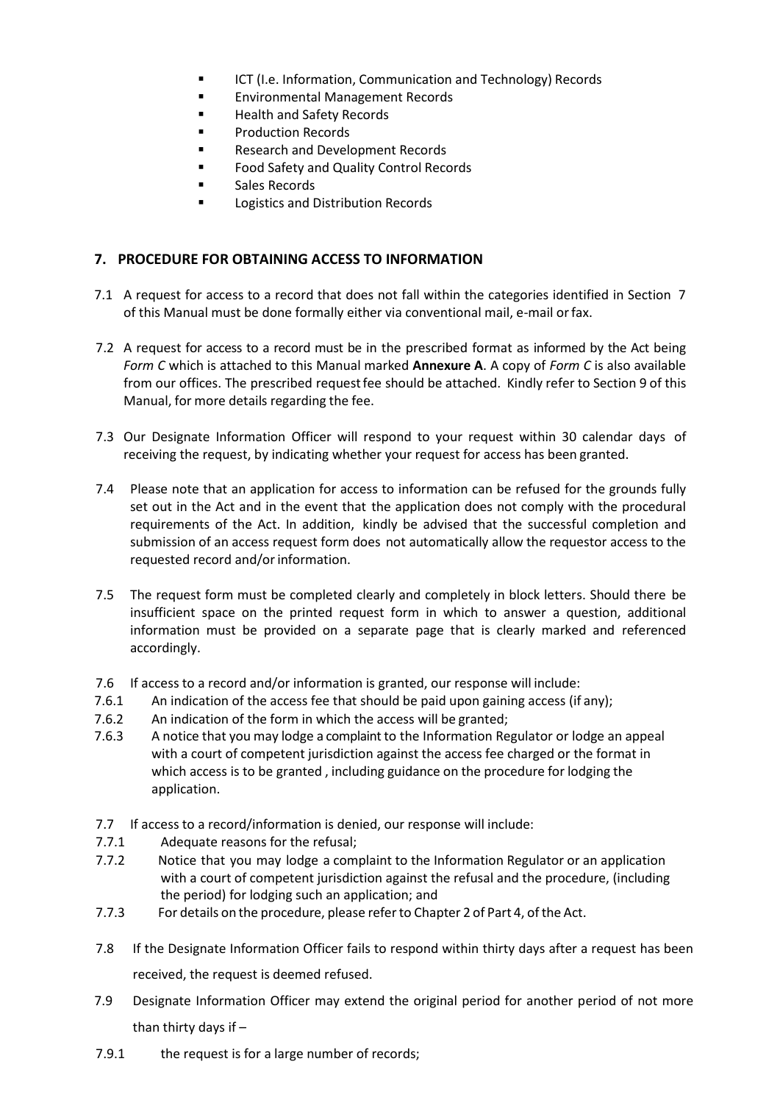- ICT (I.e. Information, Communication and Technology) Records
- Environmental Management Records
- Health and Safety Records
- **Production Records**
- Research and Development Records
- Food Safety and Quality Control Records
- Sales Records
- Logistics and Distribution Records

## <span id="page-5-0"></span>**7. PROCEDURE FOR OBTAINING ACCESS TO INFORMATION**

- 7.1 A request for access to a record that does not fall within the categories identified in Section 7 of this Manual must be done formally either via conventional mail, e-mail orfax.
- 7.2 A request for access to a record must be in the prescribed format as informed by the Act being *Form C* which is attached to this Manual marked **Annexure A**. A copy of *Form C* is also available from our offices. The prescribed request fee should be attached. Kindly refer to Section 9 of this Manual, for more details regarding the fee.
- 7.3 Our Designate Information Officer will respond to your request within 30 calendar days of receiving the request, by indicating whether your request for access has been granted.
- 7.4 Please note that an application for access to information can be refused for the grounds fully set out in the Act and in the event that the application does not comply with the procedural requirements of the Act. In addition, kindly be advised that the successful completion and submission of an access request form does not automatically allow the requestor access to the requested record and/orinformation.
- 7.5 The request form must be completed clearly and completely in block letters. Should there be insufficient space on the printed request form in which to answer a question, additional information must be provided on a separate page that is clearly marked and referenced accordingly.
- 7.6 If access to a record and/or information is granted, our response will include:
- 7.6.1 An indication of the access fee that should be paid upon gaining access (if any);
- 7.6.2 An indication of the form in which the access will be granted;
- 7.6.3 A notice that you may lodge a complaint to the Information Regulator or lodge an appeal with a court of competent jurisdiction against the access fee charged or the format in which access is to be granted , including guidance on the procedure for lodging the application.
- 7.7 If access to a record/information is denied, our response will include:
- 7.7.1 Adequate reasons for the refusal;
- 7.7.2 Notice that you may lodge a complaint to the Information Regulator or an application with a court of competent jurisdiction against the refusal and the procedure, (including the period) for lodging such an application; and
- 7.7.3 For details on the procedure, please referto Chapter 2 of Part 4, ofthe Act.
- 7.8 If the Designate Information Officer fails to respond within thirty days after a request has been received, the request is deemed refused.
- 7.9 Designate Information Officer may extend the original period for another period of not more than thirty days if –
- 7.9.1 the request is for a large number of records;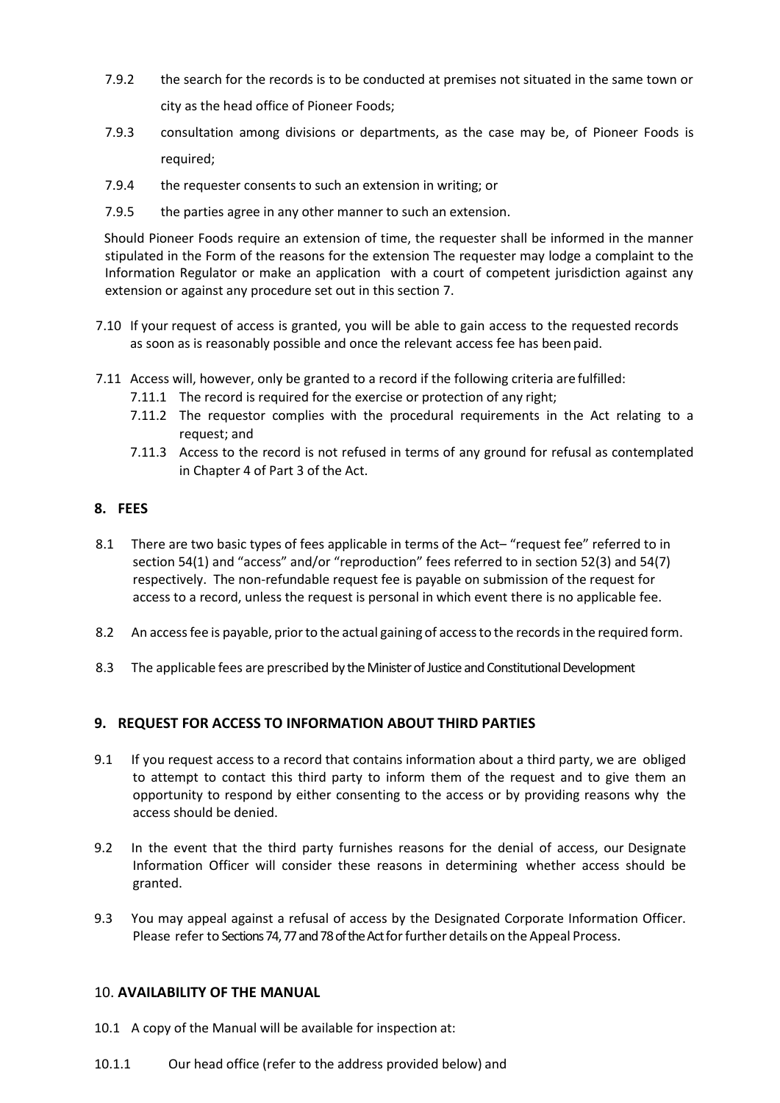- 7.9.2 the search for the records is to be conducted at premises not situated in the same town or city as the head office of Pioneer Foods;
- 7.9.3 consultation among divisions or departments, as the case may be, of Pioneer Foods is required;
- 7.9.4 the requester consents to such an extension in writing; or
- 7.9.5 the parties agree in any other manner to such an extension.

 Should Pioneer Foods require an extension of time, the requester shall be informed in the manner stipulated in the Form of the reasons for the extension The requester may lodge a complaint to the Information Regulator or make an application with a court of competent jurisdiction against any extension or against any procedure set out in this section 7.

- 7.10 If your request of access is granted, you will be able to gain access to the requested records as soon as is reasonably possible and once the relevant access fee has been paid.
- 7.11 Access will, however, only be granted to a record if the following criteria are fulfilled:
	- 7.11.1 The record is required for the exercise or protection of any right;
	- 7.11.2 The requestor complies with the procedural requirements in the Act relating to a request; and
	- 7.11.3 Access to the record is not refused in terms of any ground for refusal as contemplated in Chapter 4 of Part 3 of the Act.

# <span id="page-6-0"></span>**8. FEES**

- 8.1 There are two basic types of fees applicable in terms of the Act– "request fee" referred to in section 54(1) and "access" and/or "reproduction" fees referred to in section 52(3) and 54(7) respectively. The non-refundable request fee is payable on submission of the request for access to a record, unless the request is personal in which event there is no applicable fee.
- 8.2 An access fee is payable, prior to the actual gaining of access to the records in the required form.
- 8.3 The applicable fees are prescribed by the Minister of Justice and Constitutional Development

## <span id="page-6-1"></span>**9. REQUEST FOR ACCESS TO INFORMATION ABOUT THIRD PARTIES**

- 9.1 If you request access to a record that contains information about a third party, we are obliged to attempt to contact this third party to inform them of the request and to give them an opportunity to respond by either consenting to the access or by providing reasons why the access should be denied.
- 9.2 In the event that the third party furnishes reasons for the denial of access, our Designate Information Officer will consider these reasons in determining whether access should be granted.
- 9.3 You may appeal against a refusal of access by the Designated Corporate Information Officer. Please refer to Sections 74, 77 and 78 of the Act for further details on the Appeal Process.

## <span id="page-6-2"></span>10. **AVAILABILITY OF THE MANUAL**

- 10.1 A copy of the Manual will be available for inspection at:
- 10.1.1 Our head office (refer to the address provided below) and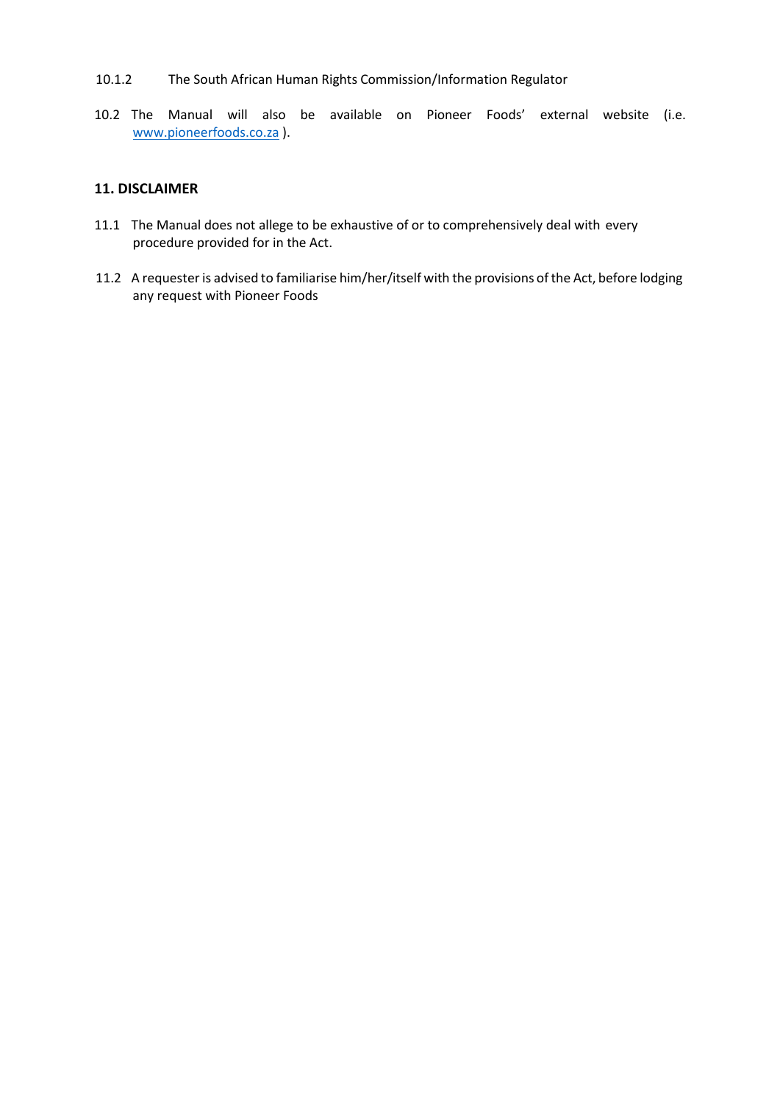### 10.1.2 The South African Human Rights Commission/Information Regulator

10.2 The Manual will also be available on Pioneer Foods' external website (i.e. [www.pioneerfoods.co.za](http://www.pioneerfoods.co.za/) ).

### <span id="page-7-0"></span>**11. DISCLAIMER**

- 11.1 The Manual does not allege to be exhaustive of or to comprehensively deal with every procedure provided for in the Act.
- 11.2 A requester is advised to familiarise him/her/itself with the provisions ofthe Act, before lodging any request with Pioneer Foods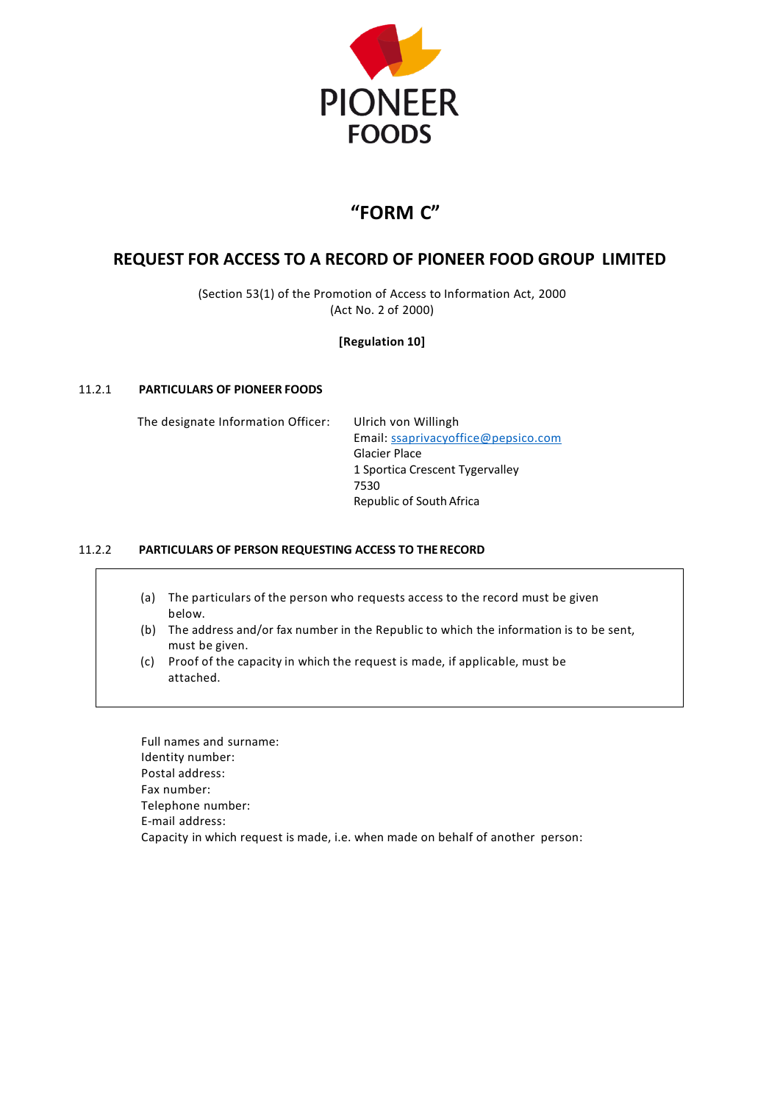

# **"FORM C"**

# <span id="page-8-0"></span>**REQUEST FOR ACCESS TO A RECORD OF PIONEER FOOD GROUP LIMITED**

(Section 53(1) of the Promotion of Access to Information Act, 2000 (Act No. 2 of 2000)

## **[Regulation 10]**

#### 11.2.1 **PARTICULARS OF PIONEER FOODS**

The designate Information Officer: Ulrich von Willingh

Email: [ssaprivacyoffice@pepsico.com](mailto:ssaprivacyoffice@pepsico.com) Glacier Place 1 Sportica Crescent Tygervalley 7530 Republic of South Africa

#### 11.2.2 **PARTICULARS OF PERSON REQUESTING ACCESS TO THERECORD**

- (a) The particulars of the person who requests access to the record must be given below.
- (b) The address and/or fax number in the Republic to which the information is to be sent, must be given.
- (c) Proof of the capacity in which the request is made, if applicable, must be attached.

Full names and surname: Identity number: Postal address: Fax number: Telephone number: E-mail address: Capacity in which request is made, i.e. when made on behalf of another person: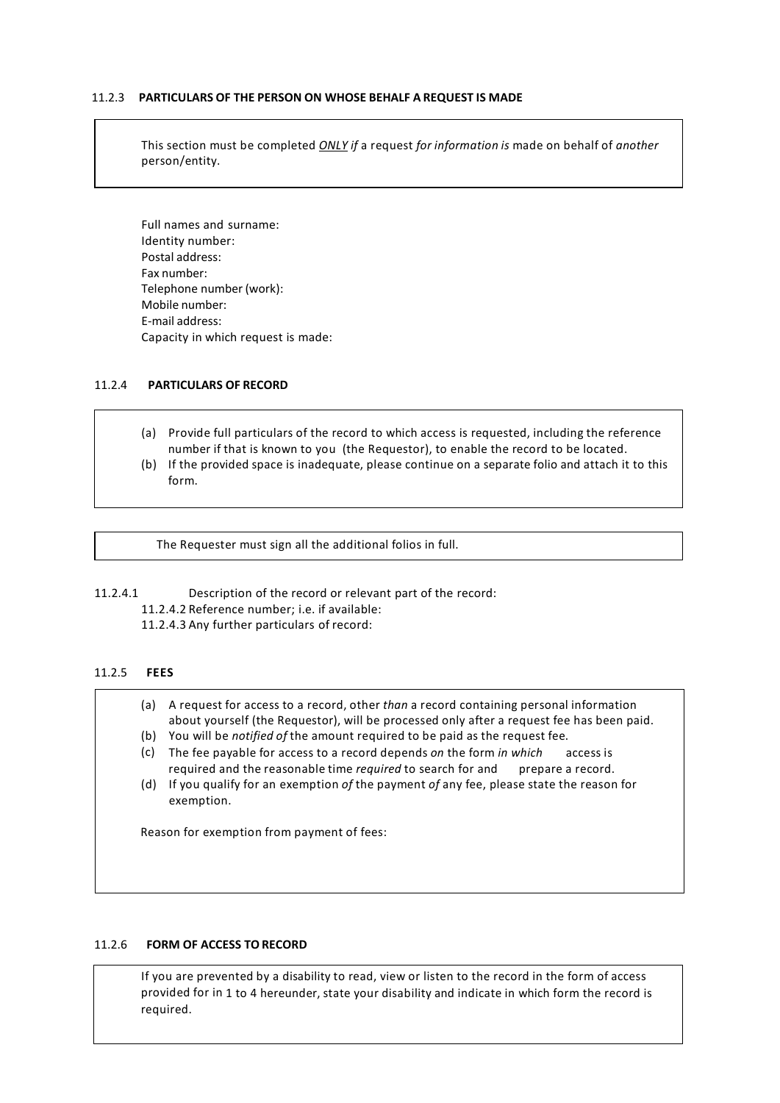#### 11.2.3 **PARTICULARS OF THE PERSON ON WHOSE BEHALF A REQUEST IS MADE**

This section must be completed *ONLY if* a request *for information is* made on behalf of *another* person/entity.

Full names and surname: Identity number: Postal address: Fax number: Telephone number (work): Mobile number: E-mail address: Capacity in which request is made:

#### 11.2.4 **PARTICULARS OF RECORD**

- (a) Provide full particulars of the record to which access is requested, including the reference number if that is known to you (the Requestor), to enable the record to be located.
- (b) If the provided space is inadequate, please continue on a separate folio and attach it to this form.

The Requester must sign all the additional folios in full.

11.2.4.1 Description of the record or relevant part of the record: 11.2.4.2 Reference number; i.e. if available: 11.2.4.3 Any further particulars of record:

#### 11.2.5 **FEES**

- (a) A request for access to a record, other *than* a record containing personal information about yourself (the Requestor), will be processed only after a request fee has been paid.
- (b) You will be *notified of* the amount required to be paid as the request fee.
- (c) The fee payable for access to a record depends *on* the form *in which* access is required and the reasonable time *required* to search for and prepare a record.
- (d) If you qualify for an exemption *of* the payment *of* any fee, please state the reason for exemption.

Reason for exemption from payment of fees:

#### 11.2.6 **FORM OF ACCESS TO RECORD**

If you are prevented by a disability to read, view or listen to the record in the form of access provided for in 1 to 4 hereunder, state your disability and indicate in which form the record is required.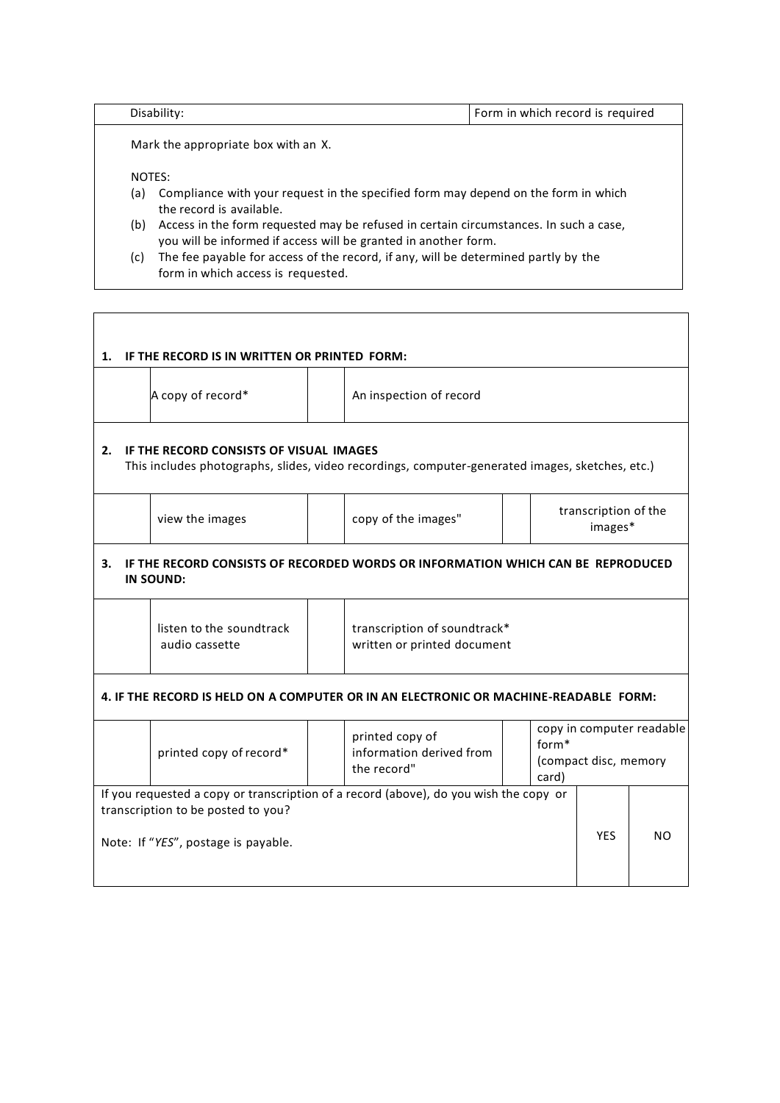|        | Disability:                                                                                                                                              | Form in which record is required |
|--------|----------------------------------------------------------------------------------------------------------------------------------------------------------|----------------------------------|
|        | Mark the appropriate box with an X.                                                                                                                      |                                  |
| NOTES: |                                                                                                                                                          |                                  |
| (a)    | Compliance with your request in the specified form may depend on the form in which<br>the record is available.                                           |                                  |
| (b)    | Access in the form requested may be refused in certain circumstances. In such a case,<br>you will be informed if access will be granted in another form. |                                  |
| (c)    | The fee payable for access of the record, if any, will be determined partly by the                                                                       |                                  |

┑

form in which access is requested.

 $\Gamma$ 

| IF THE RECORD IS IN WRITTEN OR PRINTED FORM:<br>1.                                                                                               |                                            |  |                                                             |                                 |                                                    |    |  |  |  |
|--------------------------------------------------------------------------------------------------------------------------------------------------|--------------------------------------------|--|-------------------------------------------------------------|---------------------------------|----------------------------------------------------|----|--|--|--|
|                                                                                                                                                  | A copy of record*                          |  | An inspection of record                                     |                                 |                                                    |    |  |  |  |
| IF THE RECORD CONSISTS OF VISUAL IMAGES<br>2.<br>This includes photographs, slides, video recordings, computer-generated images, sketches, etc.) |                                            |  |                                                             |                                 |                                                    |    |  |  |  |
|                                                                                                                                                  | view the images                            |  | copy of the images"                                         | transcription of the<br>images* |                                                    |    |  |  |  |
| IF THE RECORD CONSISTS OF RECORDED WORDS OR INFORMATION WHICH CAN BE REPRODUCED<br>З.<br>IN SOUND:                                               |                                            |  |                                                             |                                 |                                                    |    |  |  |  |
|                                                                                                                                                  | listen to the soundtrack<br>audio cassette |  | transcription of soundtrack*<br>written or printed document |                                 |                                                    |    |  |  |  |
| 4. IF THE RECORD IS HELD ON A COMPUTER OR IN AN ELECTRONIC OR MACHINE-READABLE FORM:                                                             |                                            |  |                                                             |                                 |                                                    |    |  |  |  |
|                                                                                                                                                  | printed copy of record*                    |  | printed copy of<br>information derived from<br>the record"  | form*<br>card)                  | copy in computer readable<br>(compact disc, memory |    |  |  |  |
| If you requested a copy or transcription of a record (above), do you wish the copy or<br>transcription to be posted to you?                      |                                            |  |                                                             |                                 |                                                    |    |  |  |  |
| Note: If "YES", postage is payable.                                                                                                              |                                            |  |                                                             |                                 |                                                    | NO |  |  |  |